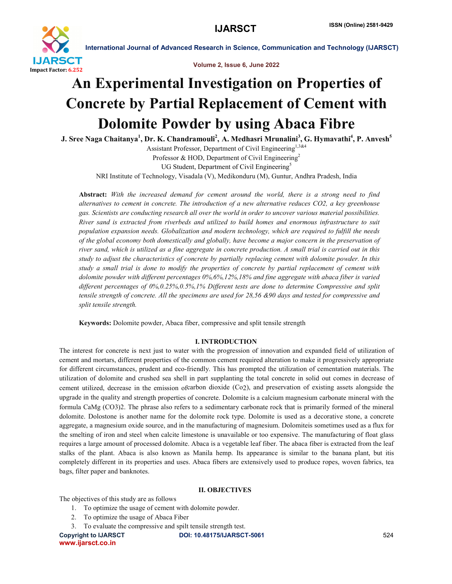

Volume 2, Issue 6, June 2022

# An Experimental Investigation on Properties of Concrete by Partial Replacement of Cement with Dolomite Powder by using Abaca Fibre

J. Sree Naga Chaitanya<sup>1</sup>, Dr. K. Chandramouli<sup>2</sup>, A. Medhasri Mrunalini<sup>3</sup>, G. Hymavathi<sup>4</sup>, P. Anvesh<sup>5</sup>

Assistant Professor, Department of Civil Engineering<sup>1,3&4</sup> Professor & HOD, Department of Civil Engineering<sup>2</sup> UG Student, Department of Civil Engineering<sup>5</sup>

NRI Institute of Technology, Visadala (V), Medikonduru (M), Guntur, Andhra Pradesh, India

Abstract: *With the increased demand for cement around the world, there is a strong need to find alternatives to cement in concrete. The introduction of a new alternative reduces CO2, a key greenhouse gas. Scientists are conducting research all over the world in order to uncover various material possibilities. River sand is extracted from riverbeds and utilized to build homes and enormous infrastructure to suit population expansion needs. Globalization and modern technology, which are required to fulfill the needs of the global economy both domestically and globally, have become a major concern in the preservation of river sand, which is utilized as a fine aggregate in concrete production. A small trial is carried out in this study to adjust the characteristics of concrete by partially replacing cement with dolomite powder. In this study a small trial is done to modify the properties of concrete by partial replacement of cement with dolomite powder with different percentages 0%,6%,12%,18% and fine aggregate with abaca fiber is varied different percentages of 0%,0.25%,0.5%,1% Different tests are done to determine Compressive and split tensile strength of concrete. All the specimens are used for 28,56 &90 days and tested for compressive and split tensile strength.*

Keywords: Dolomite powder, Abaca fiber, compressive and split tensile strength

# I. INTRODUCTION

The interest for concrete is next just to water with the progression of innovation and expanded field of utilization of cement and mortars, different properties of the common cement required alteration to make it progressively appropriate for different circumstances, prudent and eco-friendly. This has prompted the utilization of cementation materials. The utilization of dolomite and crushed sea shell in part supplanting the total concrete in solid out comes in decrease of cement utilized, decrease in the emission ofcarbon dioxide (Co2), and preservation of existing assets alongside the upgrade in the quality and strength properties of concrete. Dolomite is a calcium magnesium carbonate mineral with the formula CaMg (CO3)2. The phrase also refers to a sedimentary carbonate rock that is primarily formed of the mineral dolomite. Dolostone is another name for the dolomite rock type. Dolomite is used as a decorative stone, a concrete aggregate, a magnesium oxide source, and in the manufacturing of magnesium. Dolomiteis sometimes used as a flux for the smelting of iron and steel when calcite limestone is unavailable or too expensive. The manufacturing of float glass requires a large amount of processed dolomite. Abaca is a vegetable leaf fiber. The abaca fiber is extracted from the leaf stalks of the plant. Abaca is also known as Manila hemp. Its appearance is similar to the banana plant, but itis completely different in its properties and uses. Abaca fibers are extensively used to produce ropes, woven fabrics, tea bags, filter paper and banknotes.

# II. OBJECTIVES

The objectives of this study are as follows

- 1. To optimize the usage of cement with dolomite powder.
- 2. To optimize the usage of Abaca Fiber
- 3. To evaluate the compressive and spilt tensile strength test.

www.ijarsct.co.in

Copyright to IJARSCT DOI: 10.48175/IJARSCT-5061 **524**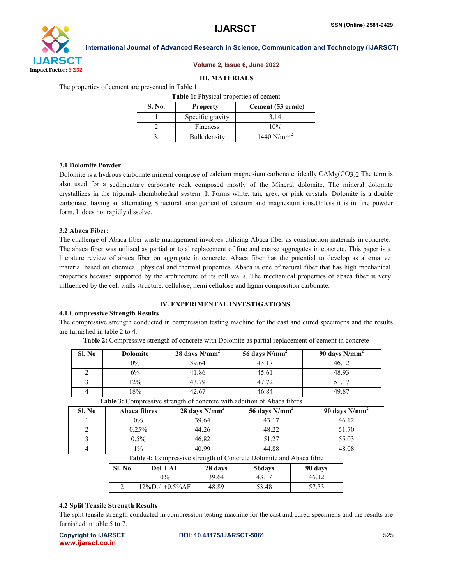

### Volume 2, Issue 6, June 2022

#### III. MATERIALS

The properties of cement are presented in Table 1.

| Table 1: Physical properties of cement |                  |                   |  |
|----------------------------------------|------------------|-------------------|--|
| S. No.                                 | <b>Property</b>  | Cement (53 grade) |  |
|                                        | Specific gravity | 3 1 4             |  |
|                                        | Fineness         | 10%               |  |
|                                        | Bulk density     | 1440 $N/mm^2$     |  |

#### 3.1 Dolomite Powder

Dolomite is a hydrous carbonate mineral compose of calcium magnesium carbonate, ideally CAMg(CO3)2.The term is also used for a sedimentary carbonate rock composed mostly of the Mineral dolomite. The mineral dolomite crystallizes in the trigonal- rhombohedral system. It Forms white, tan, grey, or pink crystals. Dolomite is a double carbonate, having an alternating Structural arrangement of calcium and magnesium ions.Unless it is in fine powder form, It does not rapidly dissolve.

## 3.2 Abaca Fiber:

The challenge of Abaca fiber waste management involves utilizing Abaca fiber as construction materials in concrete. The abaca fiber was utilized as partial or total replacement of fine and coarse aggregates in concrete. This paper is a literature review of abaca fiber on aggregate in concrete. Abaca fiber has the potential to develop as alternative material based on chemical, physical and thermal properties. Abaca is one of natural fiber that has high mechanical properties because supported by the architecture of its cell walls. The mechanical properties of abaca fiber is very influenced by the cell walls structure, cellulose, hemi cellulose and lignin composition carbonate.

# IV. EXPERIMENTAL INVESTIGATIONS

#### 4.1 Compressive Strength Results

The compressive strength conducted in compression testing machine for the cast and cured specimens and the results are furnished in table 2 to 4.

Table 2: Compressive strength of concrete with Dolomite as partial replacement of cement in concrete

| Sl. No | <b>Dolomite</b> | $28$ days $N/mm2$ | 56 days $N/mm2$ | 90 days $N/mm^2$ |
|--------|-----------------|-------------------|-----------------|------------------|
|        | $0\%$           | 39.64             | 43.17           | 46.12            |
|        | 6%              | 41.86             | 45.61           | 48.93            |
|        | $2\%$           | 43.79             | 47.72           | 51.17            |
|        | 18%             | 42.67             | 46.84           | 49.87            |

| Sl. No | Abaca fibres                           | 28 days $N/mm^2$     | 56 days $N/mm^2$                    | 90 days $N/mm^2$ |  |
|--------|----------------------------------------|----------------------|-------------------------------------|------------------|--|
|        | $0\%$                                  | 39.64                | 43.17                               | 46.12            |  |
|        | 0.25%                                  | 44.26                | 48.22                               | 51.70            |  |
|        | $0.5\%$                                | 46.82                | 51.27                               | 55.03            |  |
|        | $1\%$                                  | 40.99                | 44.88                               | 48.08            |  |
|        | $\mathbf{m}$ $\mathbf{m}$ $\mathbf{m}$ | $\sim$ $\sim$ $\sim$ | $\sim$ $\sim$ $\sim$<br>$1 \cdot 1$ | $\sim$ 1         |  |

Table 3: Compressive strength of concrete with addition of Abaca fibres

Table 4: Compressive strength of Concrete Dolomite and Abaca fibre

| Sl. No | $Dol + AF$         | 28 days | 56days         | 90 days |
|--------|--------------------|---------|----------------|---------|
|        | 0%                 | 39.64   | $43.1^{\circ}$ | 46.12   |
|        | $12\%$ Dol +0.5%AF | 48.89   | 53.48          | 57.33   |

## 4.2 Split Tensile Strength Results

The split tensile strength conducted in compression testing machine for the cast and cured specimens and the results are furnished in table 5 to 7.

|                   | <b>Copyright to IJARSCT</b> |  |
|-------------------|-----------------------------|--|
| www.ijarsct.co.in |                             |  |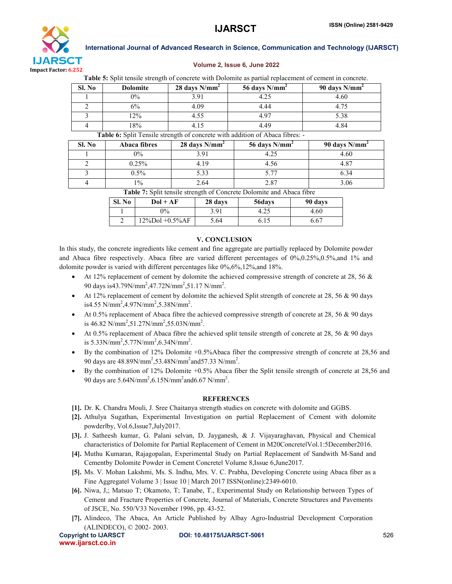

# Volume 2, Issue 6, June 2022

Table 5: Split tensile strength of concrete with Dolomite as partial replacement of cement in concrete.

| Sl. No                                                                            | <b>Dolomite</b> | $28 \text{ days } \text{N/mm}^2$ | 56 days $N/mm^2$ | 90 days $N/mm2$ |
|-----------------------------------------------------------------------------------|-----------------|----------------------------------|------------------|-----------------|
|                                                                                   | $0\%$           | 3 91                             | 4.25             | 4.60            |
|                                                                                   | 6%              | 4.09                             | 4.44             |                 |
|                                                                                   | 12%             | 4.55                             | 4.97             | 5.38            |
|                                                                                   | 18%             | 4.15                             | 449              | 4.84            |
| <b>Table 6:</b> Split Tensile strength of concrete with addition of Abaca fibres: |                 |                                  |                  |                 |

**The Split Tensile strength of concrete with addition of Abaca fibres:**  $\mathbf{S}$ 

| SL No | Abaca fibres | $28$ days N/mm <sup>2</sup> | 56 days $N/mm^2$ | 90 days $N/mm^2$ |
|-------|--------------|-----------------------------|------------------|------------------|
|       | $0\%$        | 391                         | 4.25             | 4.60             |
|       | 0.25%        | 4 1 9                       | 4.56             | 4.87             |
|       | $0.5\%$      | 5.33                        | 5 77             | 6.34             |
|       | $1\%$        | 2.64                        | 2.87             | 3.06             |
|       |              |                             | ----             |                  |

Table 7: Split tensile strength of Concrete Dolomite and Abaca fibre

| Sl. No | $Dol + AF$         | 28 days | 56days | 90 days |
|--------|--------------------|---------|--------|---------|
|        | $0\%$              | 3.91    | 4.25   | 4.60    |
|        | $12\%$ Dol +0.5%AF | 5.64    | 6.15   | 6.67    |

# V. CONCLUSION

In this study, the concrete ingredients like cement and fine aggregate are partially replaced by Dolomite powder and Abaca fibre respectively. Abaca fibre are varied different percentages of 0%,0.25%,0.5%,and 1% and dolomite powder is varied with different percentages like  $0\%, 6\%, 12\%,$  and 18%.

- At 12% replacement of cement by dolomite the achieved compressive strength of concrete at 28, 56 & 90 days is43.79N/mm<sup>2</sup>,47.72N/mm<sup>2</sup>,51.17 N/mm<sup>2</sup>.
- At 12% replacement of cement by dolomite the achieved Split strength of concrete at 28, 56 & 90 days is4.55 N/mm<sup>2</sup>,4.97N/mm<sup>2</sup>,5.38N/mm<sup>2</sup>.
- At 0.5% replacement of Abaca fibre the achieved compressive strength of concrete at 28, 56 & 90 days is 46.82 N/mm<sup>2</sup>,51.27N/mm<sup>2</sup>,55.03N/mm<sup>2</sup>.
- At 0.5% replacement of Abaca fibre the achieved split tensile strength of concrete at 28, 56 & 90 days is  $5.33N/mm^2$ ,  $5.77N/mm^2$ ,  $6.34N/mm^2$ .
- By the combination of 12% Dolomite +0.5%Abaca fiber the compressive strength of concrete at 28,56 and 90 days are  $48.89$ N/mm<sup>2</sup>,53.48N/mm<sup>2</sup> and 57.33 N/mm<sup>2</sup>.
- By the combination of 12% Dolomite +0.5% Abaca fiber the Split tensile strength of concrete at 28,56 and 90 days are  $5.64$ N/mm<sup>2</sup>,6.15N/mm<sup>2</sup> and 6.67 N/mm<sup>2</sup>.

# **REFERENCES**

- [1]. Dr. K. Chandra Mouli, J. Sree Chaitanya strength studies on concrete with dolomite and GGBS.
- [2]. Athulya Sugathan, Experimental Investigation on partial Replacement of Cement with dolomite powder‖by, Vol.6,Issue7,July2017.
- [3]. J. Satheesh kumar, G. Palani selvan, D. Jayganesh, & J. Vijayaraghavan, Physical and Chemical characteristics of Dolomite for Partial Replacement of Cement in M20Concrete‖Vol.1:5December2016.
- [4]. Muthu Kumaran, Rajagopalan, Experimental Study on Partial Replacement of Sandwith M-Sand and Cementby Dolomite Powder in Cement Concrete‖ Volume 8,Issue 6,June2017.
- [5]. Ms. V. Mohan Lakshmi, Ms. S. Indhu, Mrs. V. C. Prabha, Developing Concrete using Abaca fiber as a Fine Aggregatel Volume 3 | Issue 10 | March 2017 ISSN(online): 2349-6010.
- [6]. Niwa, J,; Matsuo T; Okamoto, T; Tanabe, T., Experimental Study on Relationship between Types of Cement and Fracture Properties of Concrete, Journal of Materials, Concrete Structures and Pavements of JSCE, No. 550/V33 November 1996, pp. 43-52.
- [7]. Alindeco, The Abaca, An Article Published by Albay Agro-Industrial Development Corporation (ALINDECO), © 2002- 2003.

www.ijarsct.co.in